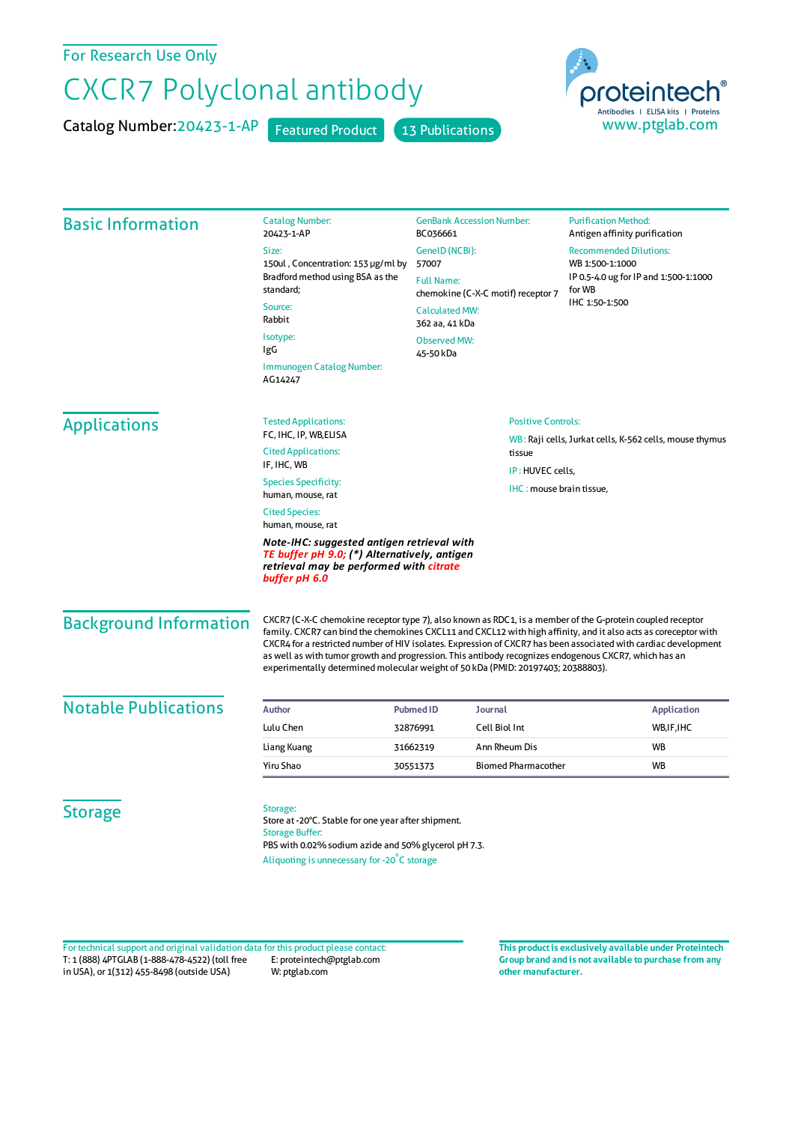## For Research Use Only

## CXCR7 Polyclonal antibody

Catalog Number: 20423-1-AP Featured Product 13 Publications



| <b>Basic Information</b>                                                                                                                               | <b>Catalog Number:</b><br>20423-1-AP                                                                                                                                                                                                                                                                                                                                                                                                                                                                                                          | <b>GenBank Accession Number:</b><br>BC036661                                  | <b>Purification Method:</b><br>Antigen affinity purification                          |                 |
|--------------------------------------------------------------------------------------------------------------------------------------------------------|-----------------------------------------------------------------------------------------------------------------------------------------------------------------------------------------------------------------------------------------------------------------------------------------------------------------------------------------------------------------------------------------------------------------------------------------------------------------------------------------------------------------------------------------------|-------------------------------------------------------------------------------|---------------------------------------------------------------------------------------|-----------------|
|                                                                                                                                                        | Size:<br>150ul, Concentration: 153 µg/ml by<br>Bradford method using BSA as the<br>standard;<br>Source:<br>Rabbit                                                                                                                                                                                                                                                                                                                                                                                                                             | GeneID (NCBI):                                                                | <b>Recommended Dilutions:</b>                                                         |                 |
|                                                                                                                                                        |                                                                                                                                                                                                                                                                                                                                                                                                                                                                                                                                               | 57007<br><b>Full Name:</b>                                                    | WB 1:500-1:1000<br>IP 0.5-4.0 ug for IP and 1:500-1:1000<br>for WB<br>IHC 1:50-1:500  |                 |
|                                                                                                                                                        |                                                                                                                                                                                                                                                                                                                                                                                                                                                                                                                                               | chemokine (C-X-C motif) receptor 7<br><b>Calculated MW:</b><br>362 aa, 41 kDa |                                                                                       |                 |
|                                                                                                                                                        |                                                                                                                                                                                                                                                                                                                                                                                                                                                                                                                                               |                                                                               |                                                                                       | Isotype:<br>IgG |
|                                                                                                                                                        | Immunogen Catalog Number:<br>AG14247                                                                                                                                                                                                                                                                                                                                                                                                                                                                                                          |                                                                               |                                                                                       |                 |
|                                                                                                                                                        | <b>Applications</b>                                                                                                                                                                                                                                                                                                                                                                                                                                                                                                                           | <b>Tested Applications:</b>                                                   | <b>Positive Controls:</b>                                                             |                 |
| FC, IHC, IP, WB, ELISA<br><b>Cited Applications:</b>                                                                                                   |                                                                                                                                                                                                                                                                                                                                                                                                                                                                                                                                               |                                                                               | WB: Raji cells, Jurkat cells, K-562 cells, mouse thymus<br>tissue<br>IP: HUVEC cells, |                 |
| IF, IHC, WB                                                                                                                                            |                                                                                                                                                                                                                                                                                                                                                                                                                                                                                                                                               |                                                                               |                                                                                       |                 |
| <b>Species Specificity:</b><br>human, mouse, rat                                                                                                       |                                                                                                                                                                                                                                                                                                                                                                                                                                                                                                                                               |                                                                               | IHC: mouse brain tissue,                                                              |                 |
| <b>Cited Species:</b><br>human, mouse, rat                                                                                                             |                                                                                                                                                                                                                                                                                                                                                                                                                                                                                                                                               |                                                                               |                                                                                       |                 |
| Note-IHC: suggested antigen retrieval with<br>TE buffer pH 9.0; (*) Alternatively, antigen<br>retrieval may be performed with citrate<br>buffer pH 6.0 |                                                                                                                                                                                                                                                                                                                                                                                                                                                                                                                                               |                                                                               |                                                                                       |                 |
| <b>Background Information</b>                                                                                                                          | CXCR7 (C-X-C chemokine receptor type 7), also known as RDC1, is a member of the G-protein coupled receptor<br>family. CXCR7 can bind the chemokines CXCL11 and CXCL12 with high affinity, and it also acts as coreceptor with<br>CXCR4 for a restricted number of HIV isolates. Expression of CXCR7 has been associated with cardiac development<br>as well as with tumor growth and progression. This antibody recognizes endogenous CXCR7, which has an<br>experimentally determined molecular weight of 50 kDa (PMID: 20197403; 20388803). |                                                                               |                                                                                       |                 |
| <b>Notable Publications</b>                                                                                                                            | Author                                                                                                                                                                                                                                                                                                                                                                                                                                                                                                                                        | <b>Pubmed ID</b><br><b>Journal</b>                                            | <b>Application</b>                                                                    |                 |
|                                                                                                                                                        | Lulu Chen                                                                                                                                                                                                                                                                                                                                                                                                                                                                                                                                     | Cell Biol Int<br>32876991                                                     | WB, IF, IHC                                                                           |                 |
|                                                                                                                                                        | Liang Kuang                                                                                                                                                                                                                                                                                                                                                                                                                                                                                                                                   | Ann Rheum Dis<br>31662319                                                     | <b>WB</b>                                                                             |                 |
|                                                                                                                                                        | Yiru Shao                                                                                                                                                                                                                                                                                                                                                                                                                                                                                                                                     | <b>Biomed Pharmacother</b><br>30551373                                        | <b>WB</b>                                                                             |                 |
| <b>Storage</b>                                                                                                                                         | Storage:<br>Store at -20°C. Stable for one year after shipment.<br><b>Storage Buffer:</b><br>PBS with 0.02% sodium azide and 50% glycerol pH 7.3.                                                                                                                                                                                                                                                                                                                                                                                             |                                                                               |                                                                                       |                 |
|                                                                                                                                                        | Aliquoting is unnecessary for -20°C storage                                                                                                                                                                                                                                                                                                                                                                                                                                                                                                   |                                                                               |                                                                                       |                 |

T: 1 (888) 4PTGLAB (1-888-478-4522) (toll free in USA), or 1(312) 455-8498 (outside USA) E: proteintech@ptglab.com W: ptglab.com Fortechnical support and original validation data forthis product please contact: **This productis exclusively available under Proteintech**

**Group brand and is not available to purchase from any other manufacturer.**